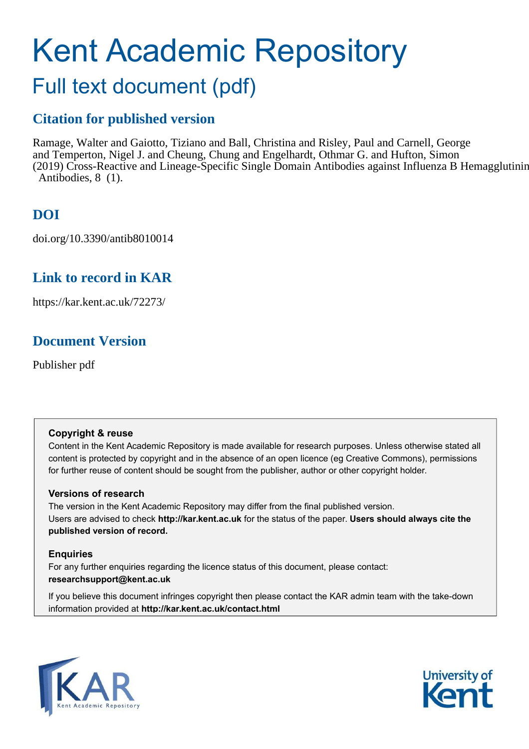# Kent Academic Repository

## Full text document (pdf)

## **Citation for published version**

Ramage, Walter and Gaiotto, Tiziano and Ball, Christina and Risley, Paul and Carnell, George and Temperton, Nigel J. and Cheung, Chung and Engelhardt, Othmar G. and Hufton, Simon (2019) Cross-Reactive and Lineage-Specific Single Domain Antibodies against Influenza B Hemagglutinin. Antibodies, 8 (1).

## **DOI**

doi.org/10.3390/antib8010014

## **Link to record in KAR**

https://kar.kent.ac.uk/72273/

## **Document Version**

Publisher pdf

#### **Copyright & reuse**

Content in the Kent Academic Repository is made available for research purposes. Unless otherwise stated all content is protected by copyright and in the absence of an open licence (eg Creative Commons), permissions for further reuse of content should be sought from the publisher, author or other copyright holder.

#### **Versions of research**

The version in the Kent Academic Repository may differ from the final published version. Users are advised to check **http://kar.kent.ac.uk** for the status of the paper. **Users should always cite the published version of record.**

#### **Enquiries**

For any further enquiries regarding the licence status of this document, please contact: **researchsupport@kent.ac.uk**

If you believe this document infringes copyright then please contact the KAR admin team with the take-down information provided at **http://kar.kent.ac.uk/contact.html**



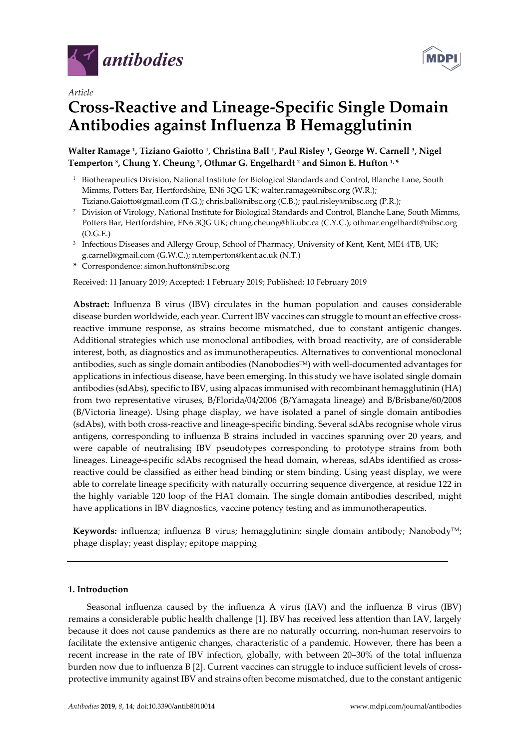

*Article* 

## **Cross-Reactive and Lineage-Specific Single Domain Antibodies against Influenza B Hemagglutinin**

#### **Walter Ramage <sup>1</sup> , Tiziano Gaiotto <sup>1</sup> , Christina Ball <sup>1</sup> , Paul Risley <sup>1</sup> , George W. Carnell <sup>3</sup> , Nigel Temperton <sup>3</sup> , Chung Y. Cheung <sup>2</sup> , Othmar G. Engelhardt <sup>2</sup> and Simon E. Hufton 1, \***

- 1 Biotherapeutics Division, National Institute for Biological Standards and Control, Blanche Lane, South Mimms, Potters Bar, Hertfordshire, EN6 3QG UK; walter.ramage@nibsc.org (W.R.); Tiziano.Gaiotto@gmail.com (T.G.); chris.ball@nibsc.org (C.B.); paul.risley@nibsc.org (P.R.);
- 2 Division of Virology, National Institute for Biological Standards and Control, Blanche Lane, South Mimms, Potters Bar, Hertfordshire, EN6 3QG UK; chung.cheung@hli.ubc.ca (C.Y.C.); othmar.engelhardt@nibsc.org (O.G.E.)
- 3 Infectious Diseases and Allergy Group, School of Pharmacy, University of Kent, Kent, ME4 4TB, UK; g.carnell@gmail.com (G.W.C.); n.temperton@kent.ac.uk (N.T.)
- **\*** Correspondence: simon.hufton@nibsc.org

Received: 11 January 2019; Accepted: 1 February 2019; Published: 10 February 2019

**Abstract:** Influenza B virus (IBV) circulates in the human population and causes considerable disease burden worldwide, each year. Current IBV vaccines can struggle to mount an effective crossreactive immune response, as strains become mismatched, due to constant antigenic changes. Additional strategies which use monoclonal antibodies, with broad reactivity, are of considerable interest, both, as diagnostics and as immunotherapeutics. Alternatives to conventional monoclonal antibodies, such as single domain antibodies (NanobodiesTM) with well-documented advantages for applications in infectious disease, have been emerging. In this study we have isolated single domain antibodies (sdAbs), specific to IBV, using alpacas immunised with recombinant hemagglutinin (HA) from two representative viruses, B/Florida/04/2006 (B/Yamagata lineage) and B/Brisbane/60/2008 (B/Victoria lineage). Using phage display, we have isolated a panel of single domain antibodies (sdAbs), with both cross-reactive and lineage-specific binding. Several sdAbs recognise whole virus antigens, corresponding to influenza B strains included in vaccines spanning over 20 years, and were capable of neutralising IBV pseudotypes corresponding to prototype strains from both lineages. Lineage-specific sdAbs recognised the head domain, whereas, sdAbs identified as crossreactive could be classified as either head binding or stem binding. Using yeast display, we were able to correlate lineage specificity with naturally occurring sequence divergence, at residue 122 in the highly variable 120 loop of the HA1 domain. The single domain antibodies described, might have applications in IBV diagnostics, vaccine potency testing and as immunotherapeutics.

**Keywords:** influenza; influenza B virus; hemagglutinin; single domain antibody; NanobodyTM; phage display; yeast display; epitope mapping

#### **1. Introduction**

Seasonal influenza caused by the influenza A virus (IAV) and the influenza B virus (IBV) remains a considerable public health challenge [1]. IBV has received less attention than IAV, largely because it does not cause pandemics as there are no naturally occurring, non-human reservoirs to facilitate the extensive antigenic changes, characteristic of a pandemic. However, there has been a recent increase in the rate of IBV infection, globally, with between 20–30% of the total influenza burden now due to influenza B [2]. Current vaccines can struggle to induce sufficient levels of crossprotective immunity against IBV and strains often become mismatched, due to the constant antigenic

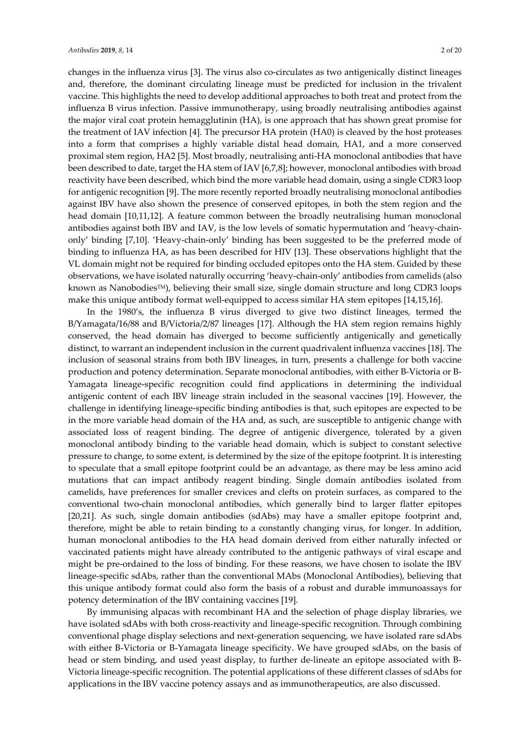changes in the influenza virus [3]. The virus also co-circulates as two antigenically distinct lineages and, therefore, the dominant circulating lineage must be predicted for inclusion in the trivalent vaccine. This highlights the need to develop additional approaches to both treat and protect from the influenza B virus infection. Passive immunotherapy, using broadly neutralising antibodies against the major viral coat protein hemagglutinin (HA), is one approach that has shown great promise for the treatment of IAV infection [4]. The precursor HA protein (HA0) is cleaved by the host proteases into a form that comprises a highly variable distal head domain, HA1, and a more conserved proximal stem region, HA2 [5]. Most broadly, neutralising anti-HA monoclonal antibodies that have been described to date, target the HA stem of IAV [6,7,8]; however, monoclonal antibodies with broad reactivity have been described, which bind the more variable head domain, using a single CDR3 loop for antigenic recognition [9]. The more recently reported broadly neutralising monoclonal antibodies against IBV have also shown the presence of conserved epitopes, in both the stem region and the head domain [10,11,12]. A feature common between the broadly neutralising human monoclonal antibodies against both IBV and IAV, is the low levels of somatic hypermutation and 'heavy-chainonly' binding [7,10]. 'Heavy-chain-only' binding has been suggested to be the preferred mode of binding to influenza HA, as has been described for HIV [13]. These observations highlight that the VL domain might not be required for binding occluded epitopes onto the HA stem. Guided by these observations, we have isolated naturally occurring 'heavy-chain-only' antibodies from camelids (also known as NanobodiesTM), believing their small size, single domain structure and long CDR3 loops make this unique antibody format well-equipped to access similar HA stem epitopes [14,15,16].

In the 1980ís, the influenza B virus diverged to give two distinct lineages, termed the B/Yamagata/16/88 and B/Victoria/2/87 lineages [17]. Although the HA stem region remains highly conserved, the head domain has diverged to become sufficiently antigenically and genetically distinct, to warrant an independent inclusion in the current quadrivalent influenza vaccines [18]. The inclusion of seasonal strains from both IBV lineages, in turn, presents a challenge for both vaccine production and potency determination. Separate monoclonal antibodies, with either B-Victoria or B-Yamagata lineage-specific recognition could find applications in determining the individual antigenic content of each IBV lineage strain included in the seasonal vaccines [19]. However, the challenge in identifying lineage-specific binding antibodies is that, such epitopes are expected to be in the more variable head domain of the HA and, as such, are susceptible to antigenic change with associated loss of reagent binding. The degree of antigenic divergence, tolerated by a given monoclonal antibody binding to the variable head domain, which is subject to constant selective pressure to change, to some extent, is determined by the size of the epitope footprint. It is interesting to speculate that a small epitope footprint could be an advantage, as there may be less amino acid mutations that can impact antibody reagent binding. Single domain antibodies isolated from camelids, have preferences for smaller crevices and clefts on protein surfaces, as compared to the conventional two-chain monoclonal antibodies, which generally bind to larger flatter epitopes [20,21]. As such, single domain antibodies (sdAbs) may have a smaller epitope footprint and, therefore, might be able to retain binding to a constantly changing virus, for longer. In addition, human monoclonal antibodies to the HA head domain derived from either naturally infected or vaccinated patients might have already contributed to the antigenic pathways of viral escape and might be pre-ordained to the loss of binding. For these reasons, we have chosen to isolate the IBV lineage-specific sdAbs, rather than the conventional MAbs (Monoclonal Antibodies), believing that this unique antibody format could also form the basis of a robust and durable immunoassays for potency determination of the IBV containing vaccines [19].

By immunising alpacas with recombinant HA and the selection of phage display libraries, we have isolated sdAbs with both cross-reactivity and lineage-specific recognition. Through combining conventional phage display selections and next-generation sequencing, we have isolated rare sdAbs with either B-Victoria or B-Yamagata lineage specificity. We have grouped sdAbs, on the basis of head or stem binding, and used yeast display, to further de-lineate an epitope associated with B-Victoria lineage-specific recognition. The potential applications of these different classes of sdAbs for applications in the IBV vaccine potency assays and as immunotherapeutics, are also discussed.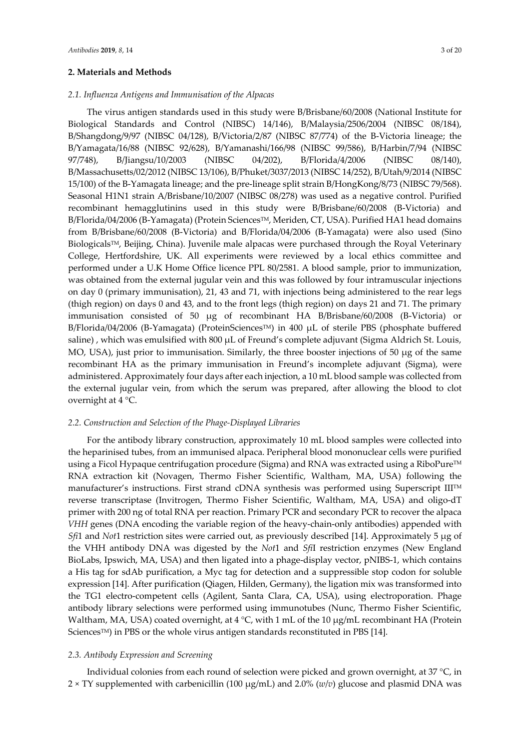#### **2. Materials and Methods**

#### *2.1. Influenza Antigens and Immunisation of the Alpacas*

The virus antigen standards used in this study were B/Brisbane/60/2008 (National Institute for Biological Standards and Control (NIBSC) 14/146), B/Malaysia/2506/2004 (NIBSC 08/184), B/Shangdong/9/97 (NIBSC 04/128), B/Victoria/2/87 (NIBSC 87/774) of the B-Victoria lineage; the B/Yamagata/16/88 (NIBSC 92/628), B/Yamanashi/166/98 (NIBSC 99/586), B/Harbin/7/94 (NIBSC 97/748), B/Jiangsu/10/2003 (NIBSC 04/202), B/Florida/4/2006 (NIBSC 08/140), B/Massachusetts/02/2012 (NIBSC 13/106), B/Phuket/3037/2013 (NIBSC 14/252), B/Utah/9/2014 (NIBSC 15/100) of the B-Yamagata lineage; and the pre-lineage split strain B/HongKong/8/73 (NIBSC 79/568). Seasonal H1N1 strain A/Brisbane/10/2007 (NIBSC 08/278) was used as a negative control. Purified recombinant hemagglutinins used in this study were B/Brisbane/60/2008 (B-Victoria) and B/Florida/04/2006 (B-Yamagata) (Protein Sciences™, Meriden, CT, USA). Purified HA1 head domains from B/Brisbane/60/2008 (B-Victoria) and B/Florida/04/2006 (B-Yamagata) were also used (Sino BiologicalsTM, Beijing, China). Juvenile male alpacas were purchased through the Royal Veterinary College, Hertfordshire, UK. All experiments were reviewed by a local ethics committee and performed under a U.K Home Office licence PPL 80/2581. A blood sample, prior to immunization, was obtained from the external jugular vein and this was followed by four intramuscular injections on day 0 (primary immunisation), 21, 43 and 71, with injections being administered to the rear legs (thigh region) on days 0 and 43, and to the front legs (thigh region) on days 21 and 71. The primary immunisation consisted of 50 µg of recombinant HA B/Brisbane/60/2008 (B-Victoria) or B/Florida/04/2006 (B-Yamagata) (ProteinSciences<sup>TM</sup>) in 400 µL of sterile PBS (phosphate buffered saline), which was emulsified with 800 µL of Freund's complete adjuvant (Sigma Aldrich St. Louis, MO, USA), just prior to immunisation. Similarly, the three booster injections of 50  $\mu$ g of the same recombinant HA as the primary immunisation in Freund's incomplete adjuvant (Sigma), were administered. Approximately four days after each injection, a 10 mL blood sample was collected from the external jugular vein, from which the serum was prepared, after allowing the blood to clot overnight at 4 °C.

#### *2.2. Construction and Selection of the Phage-Displayed Libraries*

For the antibody library construction, approximately 10 mL blood samples were collected into the heparinised tubes, from an immunised alpaca. Peripheral blood mononuclear cells were purified using a Ficol Hypaque centrifugation procedure (Sigma) and RNA was extracted using a RiboPure™ RNA extraction kit (Novagen, Thermo Fisher Scientific, Waltham, MA, USA) following the manufacturer's instructions. First strand cDNA synthesis was performed using Superscript IIITM reverse transcriptase (Invitrogen, Thermo Fisher Scientific, Waltham, MA, USA) and oligo-dT primer with 200 ng of total RNA per reaction. Primary PCR and secondary PCR to recover the alpaca *VHH* genes (DNA encoding the variable region of the heavy-chain-only antibodies) appended with *Sfi*1 and *Not*1 restriction sites were carried out, as previously described [14]. Approximately 5 µg of the VHH antibody DNA was digested by the *Not*1 and *Sfi*I restriction enzymes (New England BioLabs, Ipswich, MA, USA) and then ligated into a phage-display vector, pNIBS-1, which contains a His tag for sdAb purification, a Myc tag for detection and a suppressible stop codon for soluble expression [14]. After purification (Qiagen, Hilden, Germany), the ligation mix was transformed into the TG1 electro-competent cells (Agilent, Santa Clara, CA, USA), using electroporation. Phage antibody library selections were performed using immunotubes (Nunc, Thermo Fisher Scientific, Waltham, MA, USA) coated overnight, at 4 °C, with 1 mL of the 10 µg/mL recombinant HA (Protein Sciences<sup>TM</sup>) in PBS or the whole virus antigen standards reconstituted in PBS [14].

#### *2.3. Antibody Expression and Screening*

Individual colonies from each round of selection were picked and grown overnight, at 37 °C, in 2 × TY supplemented with carbenicillin (100 µg/mL) and 2.0% (*w*/*v*) glucose and plasmid DNA was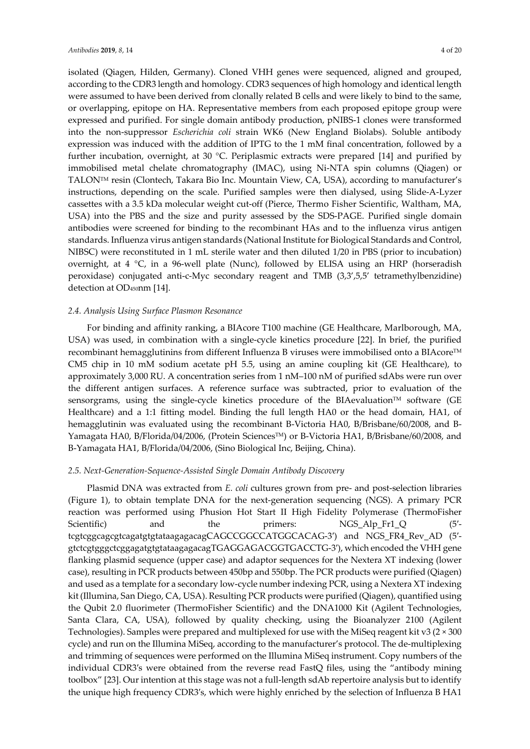isolated (Qiagen, Hilden, Germany). Cloned VHH genes were sequenced, aligned and grouped, according to the CDR3 length and homology. CDR3 sequences of high homology and identical length were assumed to have been derived from clonally related B cells and were likely to bind to the same, or overlapping, epitope on HA. Representative members from each proposed epitope group were expressed and purified. For single domain antibody production, pNIBS-1 clones were transformed into the non-suppressor *Escherichia coli* strain WK6 (New England Biolabs). Soluble antibody expression was induced with the addition of IPTG to the 1 mM final concentration, followed by a further incubation, overnight, at 30 °C. Periplasmic extracts were prepared [14] and purified by immobilised metal chelate chromatography (IMAC), using Ni-NTA spin columns (Qiagen) or TALON<sup>™</sup> resin (Clontech, Takara Bio Inc. Mountain View, CA, USA), according to manufacturer's instructions, depending on the scale. Purified samples were then dialysed, using Slide-A-Lyzer cassettes with a 3.5 kDa molecular weight cut-off (Pierce, Thermo Fisher Scientific, Waltham, MA, USA) into the PBS and the size and purity assessed by the SDS-PAGE. Purified single domain antibodies were screened for binding to the recombinant HAs and to the influenza virus antigen standards. Influenza virus antigen standards (National Institute for Biological Standards and Control, NIBSC) were reconstituted in 1 mL sterile water and then diluted 1/20 in PBS (prior to incubation) overnight, at  $4 \degree C$ , in a 96-well plate (Nunc), followed by ELISA using an HRP (horseradish peroxidase) conjugated anti-c-Myc secondary reagent and TMB (3,3',5,5' tetramethylbenzidine) detection at OD450nm [14].

#### *2.4. Analysis Using Surface Plasmon Resonance*

For binding and affinity ranking, a BIAcore T100 machine (GE Healthcare, Marlborough, MA, USA) was used, in combination with a single-cycle kinetics procedure [22]. In brief, the purified recombinant hemagglutinins from different Influenza B viruses were immobilised onto a BIAcore™ CM5 chip in 10 mM sodium acetate pH 5.5, using an amine coupling kit (GE Healthcare), to approximately 3,000 RU. A concentration series from 1 nM-100 nM of purified sdAbs were run over the different antigen surfaces. A reference surface was subtracted, prior to evaluation of the sensorgrams, using the single-cycle kinetics procedure of the BIAevaluation<sup>TM</sup> software (GE Healthcare) and a 1:1 fitting model. Binding the full length HA0 or the head domain, HA1, of hemagglutinin was evaluated using the recombinant B-Victoria HA0, B/Brisbane/60/2008, and B-Yamagata HA0, B/Florida/04/2006, (Protein Sciences<sup>TM</sup>) or B-Victoria HA1, B/Brisbane/60/2008, and B-Yamagata HA1, B/Florida/04/2006, (Sino Biological Inc, Beijing, China).

#### *2.5. Next-Generation-Sequence-Assisted Single Domain Antibody Discovery*

Plasmid DNA was extracted from *E. coli* cultures grown from pre- and post-selection libraries (Figure 1), to obtain template DNA for the next-generation sequencing (NGS). A primary PCR reaction was performed using Phusion Hot Start II High Fidelity Polymerase (ThermoFisher Scientific) and the primers: NGS\_Alp\_Fr1\_Q (5'tcgtcggcagcgtcagatgtgtataagagacagCAGCCGGCCATGGCACAG-3') and NGS\_FR4\_Rev\_AD (5'gtctcgtgggctcggagatgtgtataagagacagTGAGGAGACGGTGACCTG-3'), which encoded the VHH gene flanking plasmid sequence (upper case) and adaptor sequences for the Nextera XT indexing (lower case), resulting in PCR products between 450bp and 550bp. The PCR products were purified (Qiagen) and used as a template for a secondary low-cycle number indexing PCR, using a Nextera XT indexing kit (Illumina, San Diego, CA, USA). Resulting PCR products were purified (Qiagen), quantified using the Qubit 2.0 fluorimeter (ThermoFisher Scientific) and the DNA1000 Kit (Agilent Technologies, Santa Clara, CA, USA), followed by quality checking, using the Bioanalyzer 2100 (Agilent Technologies). Samples were prepared and multiplexed for use with the MiSeq reagent kit  $v3 (2 \times 300)$ cycle) and run on the Illumina MiSeq, according to the manufacturer's protocol. The de-multiplexing and trimming of sequences were performed on the Illumina MiSeq instrument. Copy numbers of the individual CDR3's were obtained from the reverse read FastQ files, using the "antibody mining toolboxî [23]. Our intention at this stage was not a full-length sdAb repertoire analysis but to identify the unique high frequency CDR3's, which were highly enriched by the selection of Influenza B HA1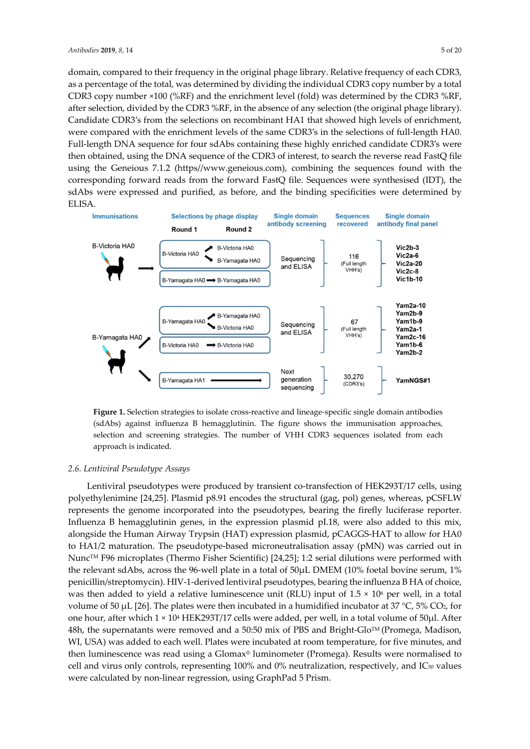domain, compared to their frequency in the original phage library. Relative frequency of each CDR3, as a percentage of the total, was determined by dividing the individual CDR3 copy number by a total CDR3 copy number ×100 (%RF) and the enrichment level (fold) was determined by the CDR3 %RF, after selection, divided by the CDR3 %RF, in the absence of any selection (the original phage library). Candidate CDR3's from the selections on recombinant HA1 that showed high levels of enrichment, were compared with the enrichment levels of the same CDR3's in the selections of full-length HA0. Full-length DNA sequence for four sdAbs containing these highly enriched candidate CDR3's were then obtained, using the DNA sequence of the CDR3 of interest, to search the reverse read FastQ file using the Geneious 7.1.2 (https//www.geneious.com), combining the sequences found with the corresponding forward reads from the forward FastQ file. Sequences were synthesised (IDT), the sdAbs were expressed and purified, as before, and the binding specificities were determined by ELISA.



**Figure 1.** Selection strategies to isolate cross-reactive and lineage-specific single domain antibodies (sdAbs) against influenza B hemagglutinin. The figure shows the immunisation approaches, selection and screening strategies. The number of VHH CDR3 sequences isolated from each approach is indicated.

#### *2.6. Lentiviral Pseudotype Assays*

Lentiviral pseudotypes were produced by transient co-transfection of HEK293T/17 cells, using polyethylenimine [24,25]. Plasmid p8.91 encodes the structural (gag, pol) genes, whereas, pCSFLW represents the genome incorporated into the pseudotypes, bearing the firefly luciferase reporter. Influenza B hemagglutinin genes, in the expression plasmid pI.18, were also added to this mix, alongside the Human Airway Trypsin (HAT) expression plasmid, pCAGGS-HAT to allow for HA0 to HA1/2 maturation. The pseudotype-based microneutralisation assay (pMN) was carried out in Nunc<sup>™</sup> F96 microplates (Thermo Fisher Scientific) [24,25]; 1:2 serial dilutions were performed with the relevant sdAbs, across the 96-well plate in a total of 50µL DMEM (10% foetal bovine serum, 1% penicillin/streptomycin). HIV-1-derived lentiviral pseudotypes, bearing the influenza B HA of choice, was then added to yield a relative luminescence unit (RLU) input of  $1.5 \times 10^6$  per well, in a total volume of 50  $\mu$ L [26]. The plates were then incubated in a humidified incubator at 37 °C, 5% CO<sub>2</sub>, for one hour, after which 1 × 10<sup>4</sup> HEK293T/17 cells were added, per well, in a total volume of 50µl. After 48h, the supernatants were removed and a 50:50 mix of PBS and Bright-Glo™ (Promega, Madison, WI, USA) was added to each well. Plates were incubated at room temperature, for five minutes, and then luminescence was read using a Glomax® luminometer (Promega). Results were normalised to cell and virus only controls, representing 100% and 0% neutralization, respectively, and IC<sub>50</sub> values were calculated by non-linear regression, using GraphPad 5 Prism.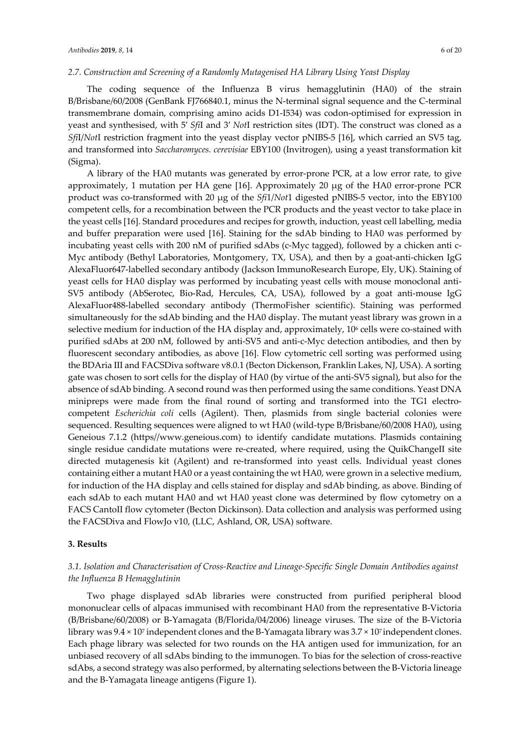#### *2.7. Construction and Screening of a Randomly Mutagenised HA Library Using Yeast Display*

The coding sequence of the Influenza B virus hemagglutinin (HA0) of the strain B/Brisbane/60/2008 (GenBank FJ766840.1, minus the N-terminal signal sequence and the C-terminal transmembrane domain, comprising amino acids D1-I534) was codon-optimised for expression in yeast and synthesised, with 5' *SfiI* and 3' *NotI* restriction sites (IDT). The construct was cloned as a *Sfi*I/*Not*I restriction fragment into the yeast display vector pNIBS-5 [16], which carried an SV5 tag, and transformed into *Saccharomyces. cerevisiae* EBY100 (Invitrogen), using a yeast transformation kit (Sigma).

A library of the HA0 mutants was generated by error-prone PCR, at a low error rate, to give approximately, 1 mutation per HA gene [16]. Approximately 20 µg of the HA0 error-prone PCR product was co-transformed with 20 µg of the *Sfi*1/*Not*1 digested pNIBS-5 vector, into the EBY100 competent cells, for a recombination between the PCR products and the yeast vector to take place in the yeast cells [16]. Standard procedures and recipes for growth, induction, yeast cell labelling, media and buffer preparation were used [16]. Staining for the sdAb binding to HA0 was performed by incubating yeast cells with 200 nM of purified sdAbs (c-Myc tagged), followed by a chicken anti c-Myc antibody (Bethyl Laboratories, Montgomery, TX, USA), and then by a goat-anti-chicken IgG AlexaFluor647-labelled secondary antibody (Jackson ImmunoResearch Europe, Ely, UK). Staining of yeast cells for HA0 display was performed by incubating yeast cells with mouse monoclonal anti-SV5 antibody (AbSerotec, Bio-Rad, Hercules, CA, USA), followed by a goat anti-mouse IgG AlexaFluor488-labelled secondary antibody (ThermoFisher scientific). Staining was performed simultaneously for the sdAb binding and the HA0 display. The mutant yeast library was grown in a selective medium for induction of the HA display and, approximately, 10<sup>6</sup> cells were co-stained with purified sdAbs at 200 nM, followed by anti-SV5 and anti-c-Myc detection antibodies, and then by fluorescent secondary antibodies, as above [16]. Flow cytometric cell sorting was performed using the BDAria III and FACSDiva software v8.0.1 (Becton Dickenson, Franklin Lakes, NJ, USA). A sorting gate was chosen to sort cells for the display of HA0 (by virtue of the anti-SV5 signal), but also for the absence of sdAb binding. A second round was then performed using the same conditions. Yeast DNA minipreps were made from the final round of sorting and transformed into the TG1 electrocompetent *Escherichia coli* cells (Agilent). Then, plasmids from single bacterial colonies were sequenced. Resulting sequences were aligned to wt HA0 (wild-type B/Brisbane/60/2008 HA0), using Geneious 7.1.2 (https//www.geneious.com) to identify candidate mutations. Plasmids containing single residue candidate mutations were re-created, where required, using the QuikChangeII site directed mutagenesis kit (Agilent) and re-transformed into yeast cells. Individual yeast clones containing either a mutant HA0 or a yeast containing the wt HA0, were grown in a selective medium, for induction of the HA display and cells stained for display and sdAb binding, as above. Binding of each sdAb to each mutant HA0 and wt HA0 yeast clone was determined by flow cytometry on a FACS CantoII flow cytometer (Becton Dickinson). Data collection and analysis was performed using the FACSDiva and FlowJo v10, (LLC, Ashland, OR, USA) software.

#### **3. Results**

#### *3.1. Isolation and Characterisation of Cross-Reactive and Lineage-Specific Single Domain Antibodies against the Influenza B Hemagglutinin*

Two phage displayed sdAb libraries were constructed from purified peripheral blood mononuclear cells of alpacas immunised with recombinant HA0 from the representative B-Victoria (B/Brisbane/60/2008) or B-Yamagata (B/Florida/04/2006) lineage viruses. The size of the B-Victoria library was 9.4 × 10<sup>7</sup> independent clones and the B-Yamagata library was 3.7 × 107 independent clones. Each phage library was selected for two rounds on the HA antigen used for immunization, for an unbiased recovery of all sdAbs binding to the immunogen. To bias for the selection of cross-reactive sdAbs, a second strategy was also performed, by alternating selections between the B-Victoria lineage and the B-Yamagata lineage antigens (Figure 1).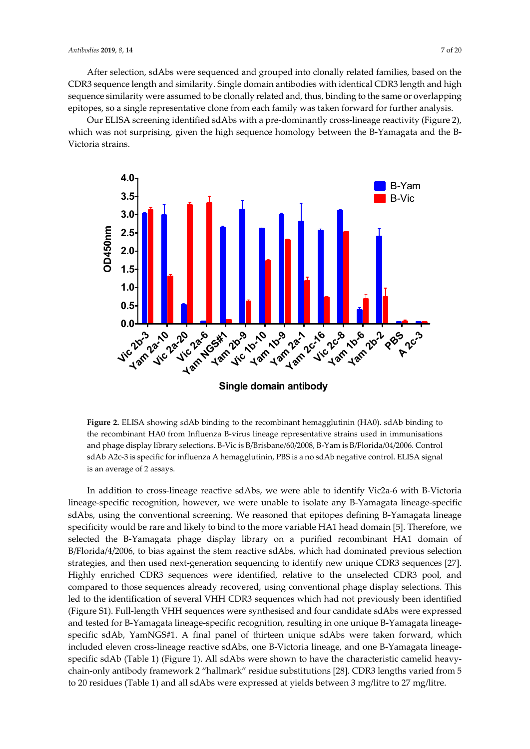After selection, sdAbs were sequenced and grouped into clonally related families, based on the CDR3 sequence length and similarity. Single domain antibodies with identical CDR3 length and high sequence similarity were assumed to be clonally related and, thus, binding to the same or overlapping epitopes, so a single representative clone from each family was taken forward for further analysis.

Our ELISA screening identified sdAbs with a pre-dominantly cross-lineage reactivity (Figure 2), which was not surprising, given the high sequence homology between the B-Yamagata and the B-Victoria strains.



**Single domain antibody**

**Figure 2.** ELISA showing sdAb binding to the recombinant hemagglutinin (HA0). sdAb binding to the recombinant HA0 from Influenza B-virus lineage representative strains used in immunisations and phage display library selections. B-Vic is B/Brisbane/60/2008, B-Yam is B/Florida/04/2006. Control sdAb A2c-3 is specific for influenza A hemagglutinin, PBS is a no sdAb negative control. ELISA signal is an average of 2 assays.

In addition to cross-lineage reactive sdAbs, we were able to identify Vic2a-6 with B-Victoria lineage-specific recognition, however, we were unable to isolate any B-Yamagata lineage-specific sdAbs, using the conventional screening. We reasoned that epitopes defining B-Yamagata lineage specificity would be rare and likely to bind to the more variable HA1 head domain [5]. Therefore, we selected the B-Yamagata phage display library on a purified recombinant HA1 domain of B/Florida/4/2006, to bias against the stem reactive sdAbs, which had dominated previous selection strategies, and then used next-generation sequencing to identify new unique CDR3 sequences [27]. Highly enriched CDR3 sequences were identified, relative to the unselected CDR3 pool, and compared to those sequences already recovered, using conventional phage display selections. This led to the identification of several VHH CDR3 sequences which had not previously been identified (Figure S1). Full-length VHH sequences were synthesised and four candidate sdAbs were expressed and tested for B-Yamagata lineage-specific recognition, resulting in one unique B-Yamagata lineagespecific sdAb, YamNGS#1. A final panel of thirteen unique sdAbs were taken forward, which included eleven cross-lineage reactive sdAbs, one B-Victoria lineage, and one B-Yamagata lineagespecific sdAb (Table 1) (Figure 1). All sdAbs were shown to have the characteristic camelid heavychain-only antibody framework 2 "hallmark" residue substitutions [28]. CDR3 lengths varied from 5 to 20 residues (Table 1) and all sdAbs were expressed at yields between 3 mg/litre to 27 mg/litre.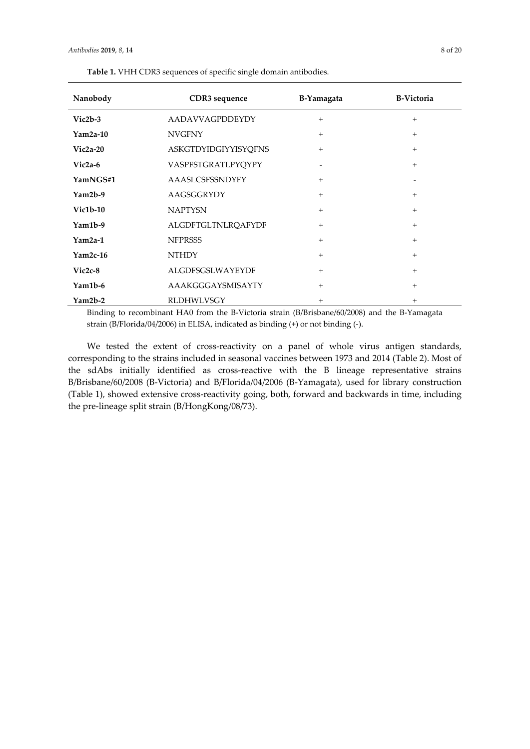| Nanobody   | CDR3 sequence          | <b>B-Yamagata</b> | <b>B-Victoria</b> |  |
|------------|------------------------|-------------------|-------------------|--|
| Vic2b-3    | <b>AADAVVAGPDDEYDY</b> | $+$               | $+$               |  |
| $Yam2a-10$ | <b>NVGFNY</b>          | $^{+}$            | $^{+}$            |  |
| $Vic2a-20$ | ASKGTDYIDGIYYISYQFNS   | $^{+}$            | $^{+}$            |  |
| $Vic2a-6$  | VASPFSTGRATLPYQYPY     |                   | $^{+}$            |  |
| YamNGS#1   | AAASLCSFSSNDYFY        | $+$               |                   |  |
| $Yam2b-9$  | AAGSGGRYDY             | $+$               | $^{+}$            |  |
| $Vic1b-10$ | <b>NAPTYSN</b>         | $^{+}$            | $+$               |  |
| Yam1b-9    | ALGDFTGLTNLRQAFYDF     | $+$               | $+$               |  |
| $Yam2a-1$  | <b>NFPRSSS</b>         | $+$               | $^{+}$            |  |
| $Yam2c-16$ | <b>NTHDY</b>           | $^{+}$            | $^{+}$            |  |
| Vic2c-8    | ALGDFSGSLWAYEYDF       | $+$               | $+$               |  |
| Yam1b-6    | AAAKGGGAYSMISAYTY      | $^{+}$            | $+$               |  |
| $Yam2b-2$  | <b>RLDHWLVSGY</b>      | $^{+}$            | $+$               |  |

**Table 1.** VHH CDR3 sequences of specific single domain antibodies.

Binding to recombinant HA0 from the B-Victoria strain (B/Brisbane/60/2008) and the B-Yamagata strain (B/Florida/04/2006) in ELISA, indicated as binding (+) or not binding (-).

We tested the extent of cross-reactivity on a panel of whole virus antigen standards, corresponding to the strains included in seasonal vaccines between 1973 and 2014 (Table 2). Most of the sdAbs initially identified as cross-reactive with the B lineage representative strains B/Brisbane/60/2008 (B-Victoria) and B/Florida/04/2006 (B-Yamagata), used for library construction (Table 1), showed extensive cross-reactivity going, both, forward and backwards in time, including the pre-lineage split strain (B/HongKong/08/73).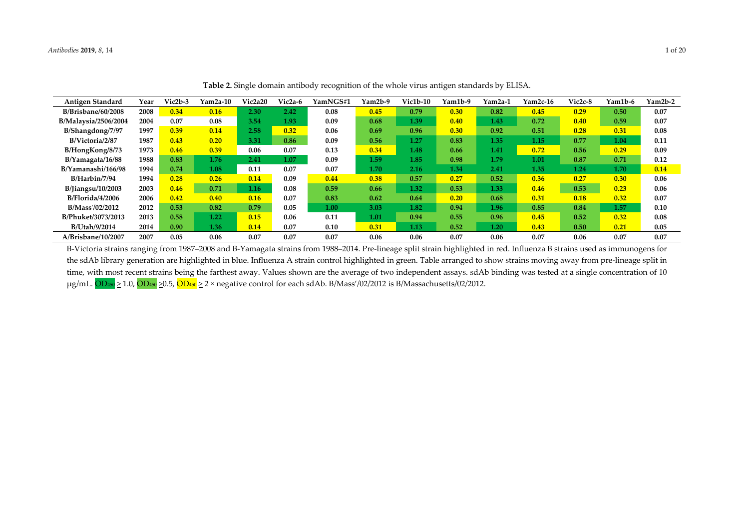| Antigen Standard      | Year | Vic2b-3 | Yam2a-10 | Vic2a20 | Vic2a-6 | YamNGS#1 | Yam2b-9 | <b>Vic1b-10</b> | Yam1b-9 | Yam2a-1 | $Yam2c-16$ | Vic2c-8 | Yam1b-6 | Yam2b-2 |
|-----------------------|------|---------|----------|---------|---------|----------|---------|-----------------|---------|---------|------------|---------|---------|---------|
| $B/B$ risbane/60/2008 | 2008 | 0.34    | 0.16     | 2.30    | 2.42    | 0.08     | 0.45    | 0.79            | 0.30    | 0.82    | 0.45       | 0.29    | 0.50    | 0.07    |
| B/Malaysia/2506/2004  | 2004 | 0.07    | 0.08     | 3.54    | 1.93    | 0.09     | 0.68    | 1.39            | 0.40    | 1.43    | 0.72       | 0.40    | 0.59    | 0.07    |
| B/Shangdong/7/97      | 1997 | 0.39    | 0.14     | 2.58    | 0.32    | 0.06     | 0.69    | 0.96            | 0.30    | 0.92    | 0.51       | 0.28    | 0.31    | 0.08    |
| B/Victoria/2/87       | 1987 | 0.43    | 0.20     | 3.31    | 0.86    | 0.09     | 0.56    | 1.27            | 0.83    | 1.35    | 1.15       | 0.77    | 1.04    | 0.11    |
| B/HongKong/8/73       | 1973 | 0.46    | 0.39     | 0.06    | 0.07    | 0.13     | 0.34    | 1.48            | 0.66    | 1.41    | 0.72       | 0.56    | 0.29    | 0.09    |
| $B/Y$ amagata/16/88   | 1988 | 0.83    | 1.76     | 2.41    | 1.07    | 0.09     | 1.59    | 1.85            | 0.98    | 1.79    | 1.01       | 0.87    | 0.71    | 0.12    |
| $B/Y$ amanashi/166/98 | 1994 | 0.74    | 1.08     | 0.11    | 0.07    | 0.07     | 1.70    | 2.16            | 1.34    | 2.41    | 1.35       | 1.24    | 1.70    | 0.14    |
| B/Harbin/7/94         | 1994 | 0.28    | 0.26     | 0.14    | 0.09    | 0.44     | 0.38    | 0.57            | 0.27    | 0.52    | 0.36       | 0.27    | 0.30    | 0.06    |
| $B/I$ iangsu/10/2003  | 2003 | 0.46    | 0.71     | 1.16    | 0.08    | 0.59     | 0.66    | 1.32            | 0.53    | 1.33    | 0.46       | 0.53    | 0.23    | 0.06    |
| B/Florida/4/2006      | 2006 | 0.42    | 0.40     | 0.16    | 0.07    | 0.83     | 0.62    | 0.64            | 0.20    | 0.68    | 0.31       | 0.18    | 0.32    | 0.07    |
| B/Mass'/02/2012       | 2012 | 0.53    | 0.82     | 0.79    | 0.05    | 1.00     | 3.03    | 1.82            | 0.94    | 1.96    | 0.85       | 0.84    | 1.57    | 0.10    |
| B/Phuket/3073/2013    | 2013 | 0.58    | 1.22     | 0.15    | 0.06    | 0.11     | 1.01    | 0.94            | 0.55    | 0.96    | 0.45       | 0.52    | 0.32    | 0.08    |
| B/Utah/9/2014         | 2014 | 0.90    | 1.36     | 0.14    | 0.07    | 0.10     | 0.31    | 1.13            | 0.52    | 1.20    | 0.43       | 0.50    | 0.21    | 0.05    |
| A/Brisbane/10/2007    | 2007 | 0.05    | 0.06     | 0.07    | 0.07    | 0.07     | 0.06    | 0.06            | 0.07    | 0.06    | 0.07       | 0.06    | 0.07    | 0.07    |

**Table 2.** Single domain antibody recognition of the whole virus antigen standards by ELISA.

B-Victoria strains ranging from 1987–2008 and B-Yamagata strains from 1988–2014. Pre-lineage split strain highlighted in red. Influenza B strains used as immunogens for the sdAb library generation are highlighted in blue. Influenza A strain control highlighted in green. Table arranged to show strains moving away from pre-lineage split in time, with most recent strains being the farthest away. Values shown are the average of two independent assays. sdAb binding was tested at a single concentration of 10  $\mu$ g/mL.  $OD_{450} \ge 1.0$ ,  $OD_{450} \ge 0.5$ ,  $OD_{450} \ge 2$  × negative control for each sdAb. B/Mass'/02/2012 is B/Massachusetts/02/2012.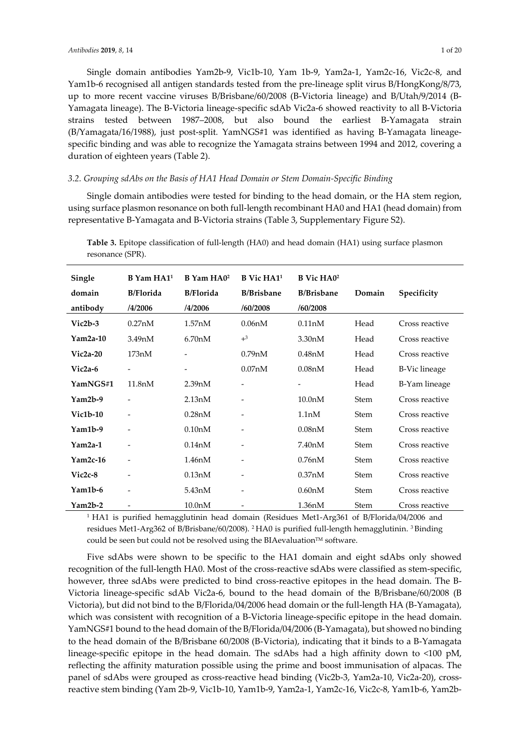Single domain antibodies Yam2b-9, Vic1b-10, Yam 1b-9, Yam2a-1, Yam2c-16, Vic2c-8, and Yam1b-6 recognised all antigen standards tested from the pre-lineage split virus B/HongKong/8/73, up to more recent vaccine viruses B/Brisbane/60/2008 (B-Victoria lineage) and B/Utah/9/2014 (B-Yamagata lineage). The B-Victoria lineage-specific sdAb Vic2a-6 showed reactivity to all B-Victoria strains tested between 1987–2008, but also bound the earliest B-Yamagata strain (B/Yamagata/16/1988), just post-split*.* YamNGS#1 was identified as having B-Yamagata lineagespecific binding and was able to recognize the Yamagata strains between 1994 and 2012, covering a duration of eighteen years (Table 2).

#### *3.2. Grouping sdAbs on the Basis of HA1 Head Domain or Stem Domain-Specific Binding*

Single domain antibodies were tested for binding to the head domain, or the HA stem region, using surface plasmon resonance on both full-length recombinant HA0 and HA1 (head domain) from representative B-Yamagata and B-Victoria strains (Table 3, Supplementary Figure S2).

| Single<br>domain<br>antibody | B Yam HA1 <sup>1</sup><br><b>B/Florida</b><br>/4/2006 | B Yam HA0 <sup>2</sup><br><b>B/Florida</b><br>/4/2006 | <b>B</b> Vic HA <sub>1</sub><br><b>B/Brisbane</b><br>/60/2008 | <b>B</b> Vic HA0 <sup>2</sup><br><b>B/Brisbane</b><br>/60/2008 | Domain      | Specificity          |
|------------------------------|-------------------------------------------------------|-------------------------------------------------------|---------------------------------------------------------------|----------------------------------------------------------------|-------------|----------------------|
| $Vic2b-3$                    | 0.27nM                                                | 1.57nM                                                | 0.06nM                                                        | 0.11nM                                                         | Head        | Cross reactive       |
| $Yam2a-10$                   | 3.49 <sub>nM</sub>                                    | 6.70 <sub>n</sub> M                                   | $+3$                                                          | 3.30nM                                                         | Head        | Cross reactive       |
| $V$ ic $2a-20$               | 173nM                                                 | $\overline{\phantom{a}}$                              | 0.79 <sub>nM</sub>                                            | 0.48nM                                                         | Head        | Cross reactive       |
| $Vic2a-6$                    |                                                       | $\overline{\phantom{a}}$                              | 0.07nM                                                        | 0.08 <sub>n</sub> M                                            | Head        | <b>B-Vic lineage</b> |
| YamNGS#1                     | 11.8 <sub>n</sub> M                                   | 2.39nM                                                | $\overline{a}$                                                |                                                                | Head        | B-Yam lineage        |
| Yam2b-9                      |                                                       | 2.13nM                                                | $\overline{\phantom{a}}$                                      | 10.0 <sub>n</sub> M                                            | Stem        | Cross reactive       |
| $Vic1b-10$                   |                                                       | 0.28nM                                                |                                                               | 1.1nM                                                          | Stem        | Cross reactive       |
| Yam1b-9                      |                                                       | 0.10nM                                                | $\overline{\phantom{0}}$                                      | 0.08 <sub>n</sub> M                                            | <b>Stem</b> | Cross reactive       |
| $Yam2a-1$                    |                                                       | 0.14nM                                                | $\overline{\phantom{a}}$                                      | 7.40 <sub>n</sub> M                                            | Stem        | Cross reactive       |
| $Yam2c-16$                   |                                                       | 1.46nM                                                | $\overline{\phantom{0}}$                                      | 0.76nM                                                         | Stem        | Cross reactive       |
| $Vic2c-8$                    |                                                       | 0.13nM                                                | $\overline{\phantom{0}}$                                      | 0.37nM                                                         | <b>Stem</b> | Cross reactive       |
| Yam1b-6                      |                                                       | 5.43nM                                                | $\overline{\phantom{a}}$                                      | 0.60nM                                                         | Stem        | Cross reactive       |
| $Yam2b-2$                    |                                                       | 10.0 <sub>n</sub> M                                   |                                                               | 1.36nM                                                         | Stem        | Cross reactive       |

**Table 3.** Epitope classification of full-length (HA0) and head domain (HA1) using surface plasmon resonance (SPR).

<sup>1</sup> HA1 is purified hemagglutinin head domain (Residues Met1-Arg361 of B/Florida/04/2006 and residues Met1-Arg362 of B/Brisbane/60/2008). <sup>2</sup>HA0 is purified full-length hemagglutinin. <sup>3</sup>Binding could be seen but could not be resolved using the BIAevaluation™ software.

Five sdAbs were shown to be specific to the HA1 domain and eight sdAbs only showed recognition of the full-length HA0. Most of the cross-reactive sdAbs were classified as stem-specific, however, three sdAbs were predicted to bind cross-reactive epitopes in the head domain. The B-Victoria lineage-specific sdAb Vic2a-6, bound to the head domain of the B/Brisbane/60/2008 (B Victoria), but did not bind to the B/Florida/04/2006 head domain or the full-length HA (B-Yamagata), which was consistent with recognition of a B-Victoria lineage-specific epitope in the head domain. YamNGS#1 bound to the head domain of the B/Florida/04/2006 (B-Yamagata), but showed no binding to the head domain of the B/Brisbane 60/2008 (B-Victoria), indicating that it binds to a B-Yamagata lineage-specific epitope in the head domain. The sdAbs had a high affinity down to <100 pM, reflecting the affinity maturation possible using the prime and boost immunisation of alpacas. The panel of sdAbs were grouped as cross-reactive head binding (Vic2b-3, Yam2a-10, Vic2a-20), crossreactive stem binding (Yam 2b-9, Vic1b-10, Yam1b-9, Yam2a-1, Yam2c-16, Vic2c-8, Yam1b-6, Yam2b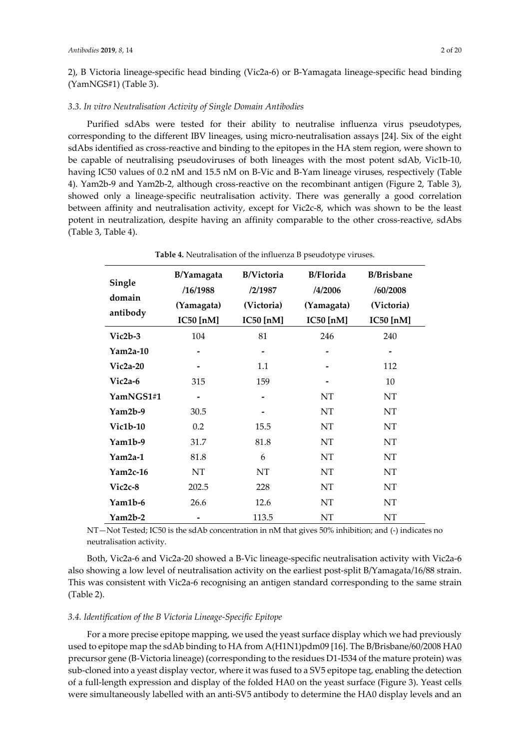2), B Victoria lineage-specific head binding (Vic2a-6) or B-Yamagata lineage-specific head binding (YamNGS#1) (Table 3).

#### *3.3. In vitro Neutralisation Activity of Single Domain Antibodies*

Purified sdAbs were tested for their ability to neutralise influenza virus pseudotypes, corresponding to the different IBV lineages, using micro-neutralisation assays [24]. Six of the eight sdAbs identified as cross-reactive and binding to the epitopes in the HA stem region, were shown to be capable of neutralising pseudoviruses of both lineages with the most potent sdAb, Vic1b-10, having IC50 values of 0.2 nM and 15.5 nM on B-Vic and B-Yam lineage viruses, respectively (Table 4). Yam2b-9 and Yam2b-2, although cross-reactive on the recombinant antigen (Figure 2, Table 3), showed only a lineage-specific neutralisation activity. There was generally a good correlation between affinity and neutralisation activity, except for Vic2c-8, which was shown to be the least potent in neutralization, despite having an affinity comparable to the other cross-reactive, sdAbs (Table 3, Table 4).

| Single<br>domain<br>antibody | B/Yamagata<br>/16/1988<br>(Yamagata)<br>$IC50$ [nM] | <b>B/Victoria</b><br>/2/1987<br>(Victoria)<br>$IC50$ [nM] | <b>B/Florida</b><br>/4/2006<br>(Yamagata)<br>$IC50$ [nM] | <b>B/Brisbane</b><br>/60/2008<br>(Victoria)<br>$IC50$ [nM] |
|------------------------------|-----------------------------------------------------|-----------------------------------------------------------|----------------------------------------------------------|------------------------------------------------------------|
| Vic2b-3                      | 104                                                 | 81                                                        | 246                                                      | 240                                                        |
| $Yam2a-10$                   |                                                     |                                                           |                                                          |                                                            |
| $Vic2a-20$                   |                                                     | 1.1                                                       |                                                          | 112                                                        |
| Vic2a-6                      | 315                                                 | 159                                                       |                                                          | 10                                                         |
| YamNGS1#1                    | -                                                   | -                                                         | NT                                                       | NT                                                         |
| Yam2b-9                      | 30.5                                                |                                                           | NT                                                       | NT                                                         |
| <b>Vic1b-10</b>              | 0.2                                                 | 15.5                                                      | NT                                                       | NT                                                         |
| Yam1b-9                      | 31.7                                                | 81.8                                                      | NT                                                       | NT                                                         |
| $Yam2a-1$                    | 81.8                                                | 6                                                         | NT                                                       | NT                                                         |
| $Yam2c-16$                   | NT                                                  | NT                                                        | NT                                                       | NT                                                         |
| Vic2c-8                      | 202.5                                               | 228                                                       | NT                                                       | NT                                                         |
| Yam1b-6                      | 26.6                                                | 12.6                                                      | NT                                                       | NT                                                         |
| Yam2b-2                      |                                                     | 113.5                                                     | NT                                                       | NT                                                         |

**Table 4.** Neutralisation of the influenza B pseudotype viruses.

NT-Not Tested; IC50 is the sdAb concentration in nM that gives 50% inhibition; and (-) indicates no neutralisation activity.

Both, Vic2a-6 and Vic2a-20 showed a B-Vic lineage-specific neutralisation activity with Vic2a-6 also showing a low level of neutralisation activity on the earliest post-split B/Yamagata/16/88 strain. This was consistent with Vic2a-6 recognising an antigen standard corresponding to the same strain (Table 2).

#### *3.4. Identification of the B Victoria Lineage-Specific Epitope*

For a more precise epitope mapping, we used the yeast surface display which we had previously used to epitope map the sdAb binding to HA from A(H1N1)pdm09 [16]. The B/Brisbane/60/2008 HA0 precursor gene (B-Victoria lineage) (corresponding to the residues D1-I534 of the mature protein) was sub-cloned into a yeast display vector, where it was fused to a SV5 epitope tag, enabling the detection of a full-length expression and display of the folded HA0 on the yeast surface (Figure 3). Yeast cells were simultaneously labelled with an anti-SV5 antibody to determine the HA0 display levels and an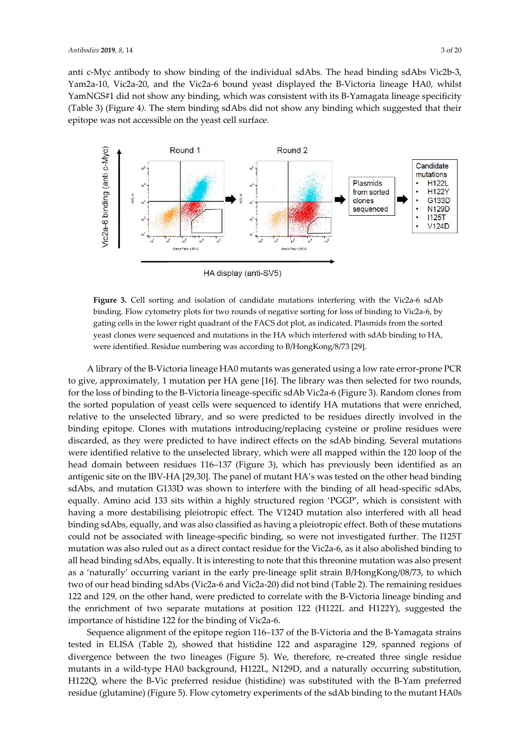anti c-Myc antibody to show binding of the individual sdAbs. The head binding sdAbs Vic2b-3, Yam2a-10, Vic2a-20, and the Vic2a-6 bound yeast displayed the B-Victoria lineage HA0, whilst YamNGS#1 did not show any binding, which was consistent with its B-Yamagata lineage specificity (Table 3) (Figure 4*).* The stem binding sdAbs did not show any binding which suggested that their epitope was not accessible on the yeast cell surface.



HA display (anti-SV5)

**Figure 3.** Cell sorting and isolation of candidate mutations interfering with the Vic2a-6 sdAb binding. Flow cytometry plots for two rounds of negative sorting for loss of binding to Vic2a-6, by gating cells in the lower right quadrant of the FACS dot plot, as indicated. Plasmids from the sorted yeast clones were sequenced and mutations in the HA which interfered with sdAb binding to HA, were identified. Residue numbering was according to B/HongKong/8/73 [29].

A library of the B-Victoria lineage HA0 mutants was generated using a low rate error-prone PCR to give, approximately, 1 mutation per HA gene [16]. The library was then selected for two rounds, for the loss of binding to the B-Victoria lineage-specific sdAb Vic2a-6 (Figure 3). Random clones from the sorted population of yeast cells were sequenced to identify HA mutations that were enriched, relative to the unselected library, and so were predicted to be residues directly involved in the binding epitope. Clones with mutations introducing/replacing cysteine or proline residues were discarded, as they were predicted to have indirect effects on the sdAb binding. Several mutations were identified relative to the unselected library, which were all mapped within the 120 loop of the head domain between residues 116-137 (Figure 3), which has previously been identified as an antigenic site on the IBV-HA [29,30]. The panel of mutant HA's was tested on the other head binding sdAbs, and mutation G133D was shown to interfere with the binding of all head-specific sdAbs, equally. Amino acid 133 sits within a highly structured region 'PGGP', which is consistent with having a more destabilising pleiotropic effect. The V124D mutation also interfered with all head binding sdAbs, equally, and was also classified as having a pleiotropic effect. Both of these mutations could not be associated with lineage-specific binding, so were not investigated further. The I125T mutation was also ruled out as a direct contact residue for the Vic2a-6, as it also abolished binding to all head binding sdAbs, equally. It is interesting to note that this threonine mutation was also present as a 'naturally' occurring variant in the early pre-lineage split strain B/HongKong/08/73, to which two of our head binding sdAbs (Vic2a-6 and Vic2a-20) did not bind (Table 2). The remaining residues 122 and 129, on the other hand, were predicted to correlate with the B-Victoria lineage binding and the enrichment of two separate mutations at position 122 (H122L and H122Y), suggested the importance of histidine 122 for the binding of Vic2a-6.

Sequence alignment of the epitope region 116–137 of the B-Victoria and the B-Yamagata strains tested in ELISA (Table 2), showed that histidine 122 and asparagine 129, spanned regions of divergence between the two lineages (Figure 5). We, therefore, re-created three single residue mutants in a wild-type HA0 background, H122L, N129D, and a naturally occurring substitution, H122Q, where the B-Vic preferred residue (histidine) was substituted with the B-Yam preferred residue (glutamine) (Figure 5). Flow cytometry experiments of the sdAb binding to the mutant HA0s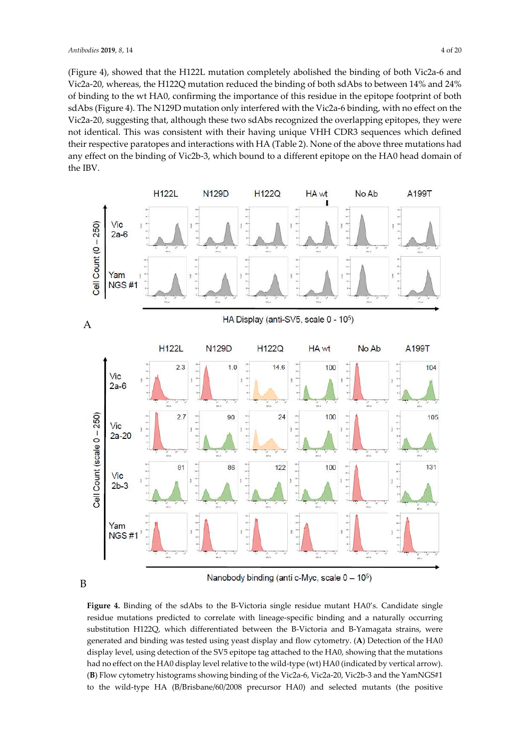(Figure 4), showed that the H122L mutation completely abolished the binding of both Vic2a-6 and Vic2a-20, whereas, the H122Q mutation reduced the binding of both sdAbs to between 14% and 24% of binding to the wt HA0, confirming the importance of this residue in the epitope footprint of both sdAbs (Figure 4). The N129D mutation only interfered with the Vic2a-6 binding, with no effect on the Vic2a-20, suggesting that, although these two sdAbs recognized the overlapping epitopes, they were not identical. This was consistent with their having unique VHH CDR3 sequences which defined their respective paratopes and interactions with HA (Table 2). None of the above three mutations had any effect on the binding of Vic2b-3, which bound to a different epitope on the HA0 head domain of the IBV.



B

Nanobody binding (anti c-Myc, scale 0 - 105)

Figure 4. Binding of the sdAbs to the B-Victoria single residue mutant HA0's. Candidate single residue mutations predicted to correlate with lineage-specific binding and a naturally occurring substitution H122Q, which differentiated between the B-Victoria and B-Yamagata strains, were generated and binding was tested using yeast display and flow cytometry. (**A**) Detection of the HA0 display level, using detection of the SV5 epitope tag attached to the HA0, showing that the mutations had no effect on the HA0 display level relative to the wild-type (wt) HA0 (indicated by vertical arrow). (**B**) Flow cytometry histograms showing binding of the Vic2a-6, Vic2a-20, Vic2b-3 and the YamNGS#1 to the wild-type HA (B/Brisbane/60/2008 precursor HA0) and selected mutants (the positive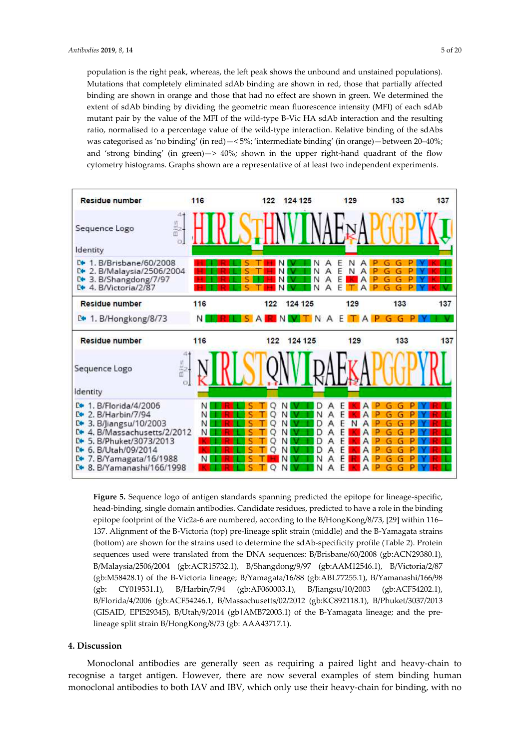population is the right peak, whereas, the left peak shows the unbound and unstained populations). Mutations that completely eliminated sdAb binding are shown in red, those that partially affected binding are shown in orange and those that had no effect are shown in green. We determined the extent of sdAb binding by dividing the geometric mean fluorescence intensity (MFI) of each sdAb mutant pair by the value of the MFI of the wild-type B-Vic HA sdAb interaction and the resulting ratio, normalised to a percentage value of the wild-type interaction. Relative binding of the sdAbs was categorised as 'no binding' (in red) $-$ < 5%; 'intermediate binding' (in orange) $-$ between 20-40%; and 'strong binding' (in green) $\rightarrow$  40%; shown in the upper right-hand quadrant of the flow cytometry histograms. Graphs shown are a representative of at least two independent experiments.



**Figure 5.** Sequence logo of antigen standards spanning predicted the epitope for lineage-specific, head-binding, single domain antibodies. Candidate residues, predicted to have a role in the binding epitope footprint of the Vic2a-6 are numbered, according to the B/HongKong/8/73, [29] within 116-137. Alignment of the B-Victoria (top) pre-lineage split strain (middle) and the B-Yamagata strains (bottom) are shown for the strains used to determine the sdAb-specificity profile (Table 2). Protein sequences used were translated from the DNA sequences: B/Brisbane/60/2008 (gb:ACN29380.1), B/Malaysia/2506/2004 (gb:ACR15732.1), B/Shangdong/9/97 (gb:AAM12546.1), B/Victoria/2/87 (gb:M58428.1) of the B-Victoria lineage; B/Yamagata/16/88 (gb:ABL77255.1), B/Yamanashi/166/98 (gb: CY019531.1), B/Harbin/7/94 (gb:AF060003.1), B/Jiangsu/10/2003 (gb:ACF54202.1), B/Florida/4/2006 (gb:ACF54246.1, B/Massachusetts/02/2012 (gb:KC892118.1), B/Phuket/3037/2013 (GISAID, EPI529345), B/Utah/9/2014 (gb|AMB72003.1) of the B-Yamagata lineage; and the prelineage split strain B/HongKong/8/73 (gb: AAA43717.1).

#### **4. Discussion**

Monoclonal antibodies are generally seen as requiring a paired light and heavy-chain to recognise a target antigen. However, there are now several examples of stem binding human monoclonal antibodies to both IAV and IBV, which only use their heavy-chain for binding, with no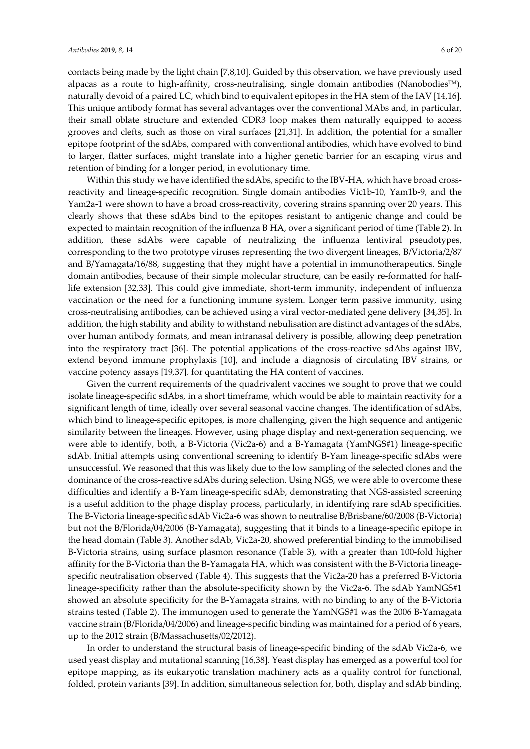contacts being made by the light chain [7,8,10]. Guided by this observation, we have previously used alpacas as a route to high-affinity, cross-neutralising, single domain antibodies (Nanobodies $TM$ ), naturally devoid of a paired LC, which bind to equivalent epitopes in the HA stem of the IAV [14,16]. This unique antibody format has several advantages over the conventional MAbs and, in particular, their small oblate structure and extended CDR3 loop makes them naturally equipped to access grooves and clefts, such as those on viral surfaces [21,31]. In addition, the potential for a smaller epitope footprint of the sdAbs, compared with conventional antibodies, which have evolved to bind to larger, flatter surfaces, might translate into a higher genetic barrier for an escaping virus and retention of binding for a longer period, in evolutionary time.

Within this study we have identified the sdAbs, specific to the IBV-HA, which have broad crossreactivity and lineage-specific recognition. Single domain antibodies Vic1b-10, Yam1b-9, and the Yam2a-1 were shown to have a broad cross-reactivity, covering strains spanning over 20 years. This clearly shows that these sdAbs bind to the epitopes resistant to antigenic change and could be expected to maintain recognition of the influenza B HA, over a significant period of time (Table 2). In addition, these sdAbs were capable of neutralizing the influenza lentiviral pseudotypes, corresponding to the two prototype viruses representing the two divergent lineages, B/Victoria/2/87 and B/Yamagata/16/88, suggesting that they might have a potential in immunotherapeutics. Single domain antibodies, because of their simple molecular structure, can be easily re-formatted for halflife extension [32,33]. This could give immediate, short-term immunity, independent of influenza vaccination or the need for a functioning immune system. Longer term passive immunity, using cross-neutralising antibodies, can be achieved using a viral vector-mediated gene delivery [34,35]. In addition, the high stability and ability to withstand nebulisation are distinct advantages of the sdAbs, over human antibody formats, and mean intranasal delivery is possible, allowing deep penetration into the respiratory tract [36]. The potential applications of the cross-reactive sdAbs against IBV, extend beyond immune prophylaxis [10], and include a diagnosis of circulating IBV strains, or vaccine potency assays [19,37], for quantitating the HA content of vaccines.

Given the current requirements of the quadrivalent vaccines we sought to prove that we could isolate lineage-specific sdAbs, in a short timeframe, which would be able to maintain reactivity for a significant length of time, ideally over several seasonal vaccine changes. The identification of sdAbs, which bind to lineage-specific epitopes, is more challenging, given the high sequence and antigenic similarity between the lineages. However, using phage display and next-generation sequencing, we were able to identify, both, a B-Victoria (Vic2a-6) and a B-Yamagata (YamNGS#1) lineage-specific sdAb. Initial attempts using conventional screening to identify B-Yam lineage-specific sdAbs were unsuccessful. We reasoned that this was likely due to the low sampling of the selected clones and the dominance of the cross-reactive sdAbs during selection. Using NGS, we were able to overcome these difficulties and identify a B-Yam lineage-specific sdAb, demonstrating that NGS-assisted screening is a useful addition to the phage display process, particularly, in identifying rare sdAb specificities. The B-Victoria lineage-specific sdAb Vic2a-6 was shown to neutralise B/Brisbane/60/2008 (B-Victoria) but not the B/Florida/04/2006 (B-Yamagata), suggesting that it binds to a lineage-specific epitope in the head domain (Table 3). Another sdAb, Vic2a-20, showed preferential binding to the immobilised B-Victoria strains, using surface plasmon resonance (Table 3), with a greater than 100-fold higher affinity for the B-Victoria than the B-Yamagata HA, which was consistent with the B-Victoria lineagespecific neutralisation observed (Table 4). This suggests that the Vic2a-20 has a preferred B-Victoria lineage-specificity rather than the absolute-specificity shown by the Vic2a-6. The sdAb YamNGS#1 showed an absolute specificity for the B-Yamagata strains, with no binding to any of the B-Victoria strains tested (Table 2). The immunogen used to generate the YamNGS#1 was the 2006 B-Yamagata vaccine strain (B/Florida/04/2006) and lineage-specific binding was maintained for a period of 6 years, up to the 2012 strain (B/Massachusetts/02/2012).

In order to understand the structural basis of lineage-specific binding of the sdAb Vic2a-6, we used yeast display and mutational scanning [16,38]. Yeast display has emerged as a powerful tool for epitope mapping, as its eukaryotic translation machinery acts as a quality control for functional, folded, protein variants [39]. In addition, simultaneous selection for, both, display and sdAb binding,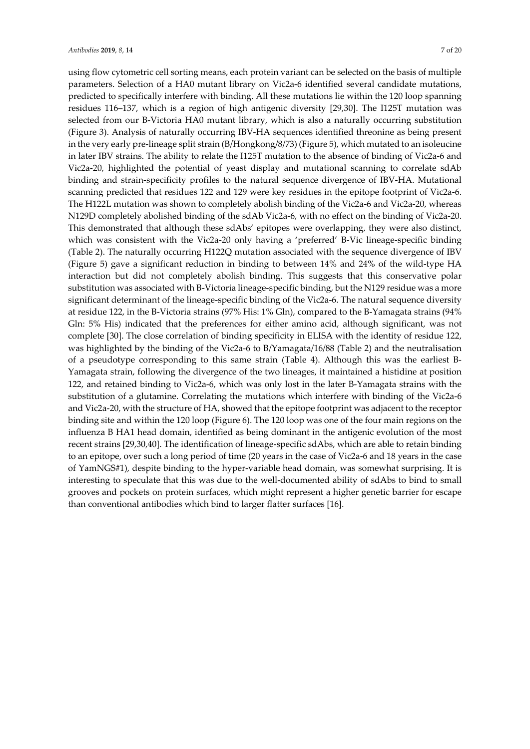using flow cytometric cell sorting means, each protein variant can be selected on the basis of multiple parameters. Selection of a HA0 mutant library on Vic2a-6 identified several candidate mutations, predicted to specifically interfere with binding. All these mutations lie within the 120 loop spanning residues 116–137, which is a region of high antigenic diversity [29,30]. The I125T mutation was selected from our B-Victoria HA0 mutant library, which is also a naturally occurring substitution (Figure 3). Analysis of naturally occurring IBV-HA sequences identified threonine as being present in the very early pre-lineage split strain (B/Hongkong/8/73) (Figure 5), which mutated to an isoleucine in later IBV strains. The ability to relate the I125T mutation to the absence of binding of Vic2a-6 and Vic2a-20, highlighted the potential of yeast display and mutational scanning to correlate sdAb binding and strain-specificity profiles to the natural sequence divergence of IBV-HA. Mutational scanning predicted that residues 122 and 129 were key residues in the epitope footprint of Vic2a-6. The H122L mutation was shown to completely abolish binding of the Vic2a-6 and Vic2a-20, whereas N129D completely abolished binding of the sdAb Vic2a-6, with no effect on the binding of Vic2a-20. This demonstrated that although these sdAbs' epitopes were overlapping, they were also distinct, which was consistent with the Vic2a-20 only having a 'preferred' B-Vic lineage-specific binding (Table 2). The naturally occurring H122Q mutation associated with the sequence divergence of IBV (Figure 5) gave a significant reduction in binding to between 14% and 24% of the wild-type HA interaction but did not completely abolish binding. This suggests that this conservative polar substitution was associated with B-Victoria lineage-specific binding, but the N129 residue was a more significant determinant of the lineage-specific binding of the Vic2a-6. The natural sequence diversity at residue 122, in the B-Victoria strains (97% His: 1% Gln), compared to the B-Yamagata strains (94% Gln: 5% His) indicated that the preferences for either amino acid, although significant, was not complete [30]. The close correlation of binding specificity in ELISA with the identity of residue 122, was highlighted by the binding of the Vic2a-6 to B/Yamagata/16/88 (Table 2) and the neutralisation of a pseudotype corresponding to this same strain (Table 4). Although this was the earliest B-Yamagata strain, following the divergence of the two lineages, it maintained a histidine at position 122, and retained binding to Vic2a-6, which was only lost in the later B-Yamagata strains with the substitution of a glutamine. Correlating the mutations which interfere with binding of the Vic2a-6 and Vic2a-20, with the structure of HA, showed that the epitope footprint was adjacent to the receptor binding site and within the 120 loop (Figure 6). The 120 loop was one of the four main regions on the influenza B HA1 head domain, identified as being dominant in the antigenic evolution of the most recent strains [29,30,40]. The identification of lineage-specific sdAbs, which are able to retain binding to an epitope, over such a long period of time (20 years in the case of Vic2a-6 and 18 years in the case of YamNGS#1), despite binding to the hyper-variable head domain, was somewhat surprising. It is interesting to speculate that this was due to the well-documented ability of sdAbs to bind to small grooves and pockets on protein surfaces, which might represent a higher genetic barrier for escape than conventional antibodies which bind to larger flatter surfaces [16].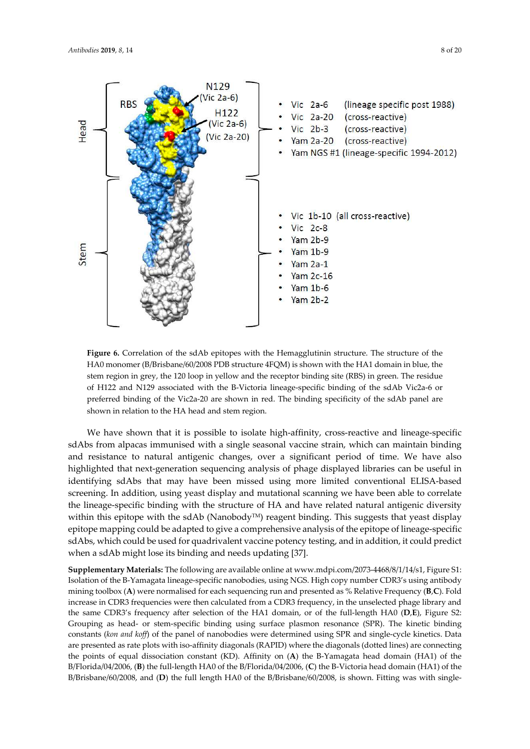

**Figure 6.** Correlation of the sdAb epitopes with the Hemagglutinin structure. The structure of the HA0 monomer (B/Brisbane/60/2008 PDB structure 4FQM) is shown with the HA1 domain in blue, the stem region in grey, the 120 loop in yellow and the receptor binding site (RBS) in green. The residue of H122 and N129 associated with the B-Victoria lineage-specific binding of the sdAb Vic2a-6 or preferred binding of the Vic2a-20 are shown in red. The binding specificity of the sdAb panel are shown in relation to the HA head and stem region.

We have shown that it is possible to isolate high-affinity, cross-reactive and lineage-specific sdAbs from alpacas immunised with a single seasonal vaccine strain, which can maintain binding and resistance to natural antigenic changes, over a significant period of time. We have also highlighted that next-generation sequencing analysis of phage displayed libraries can be useful in identifying sdAbs that may have been missed using more limited conventional ELISA-based screening. In addition, using yeast display and mutational scanning we have been able to correlate the lineage-specific binding with the structure of HA and have related natural antigenic diversity within this epitope with the sdAb (Nanobody<sup>TM</sup>) reagent binding. This suggests that yeast display epitope mapping could be adapted to give a comprehensive analysis of the epitope of lineage-specific sdAbs, which could be used for quadrivalent vaccine potency testing, and in addition, it could predict when a sdAb might lose its binding and needs updating [37].

**Supplementary Materials:** The following are available online at www.mdpi.com/2073-4468/8/1/14/s1, Figure S1: Isolation of the B-Yamagata lineage-specific nanobodies, using NGS. High copy number CDR3's using antibody mining toolbox (**A**) were normalised for each sequencing run and presented as % Relative Frequency (**B**,**C**). Fold increase in CDR3 frequencies were then calculated from a CDR3 frequency, in the unselected phage library and the same CDR3ís frequency after selection of the HA1 domain, or of the full-length HA0 (**D**,**E**), Figure S2: Grouping as head- or stem-specific binding using surface plasmon resonance (SPR). The kinetic binding constants (*kon and koff*) of the panel of nanobodies were determined using SPR and single-cycle kinetics. Data are presented as rate plots with iso-affinity diagonals (RAPID) where the diagonals (dotted lines) are connecting the points of equal dissociation constant (KD). Affinity on (**A**) the B-Yamagata head domain (HA1) of the B/Florida/04/2006, (**B**) the full-length HA0 of the B/Florida/04/2006, (**C**) the B-Victoria head domain (HA1) of the B/Brisbane/60/2008, and (**D**) the full length HA0 of the B/Brisbane/60/2008, is shown. Fitting was with single-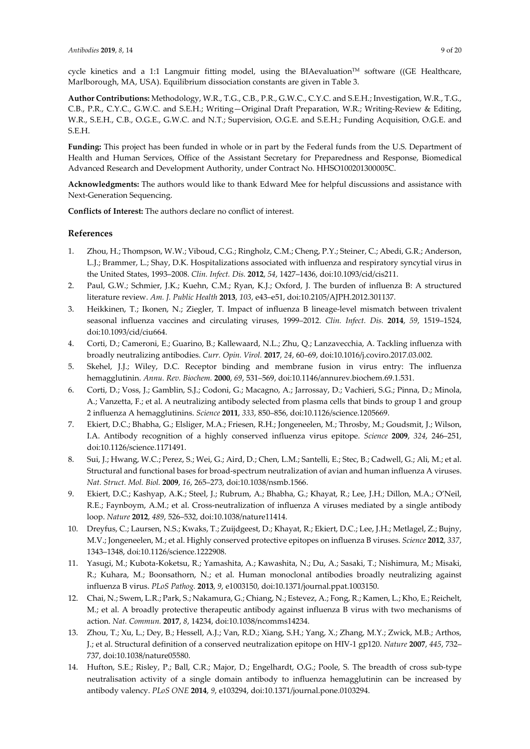**Author Contributions:** Methodology, W.R., T.G., C.B., P.R., G.W.C., C.Y.C. and S.E.H.; Investigation, W.R., T.G., C.B., P.R., C.Y.C., G.W.C. and S.E.H.; Writing–Original Draft Preparation, W.R.; Writing-Review & Editing, W.R., S.E.H., C.B., O.G.E., G.W.C. and N.T.; Supervision, O.G.E. and S.E.H.; Funding Acquisition, O.G.E. and S.E.H.

**Funding:** This project has been funded in whole or in part by the Federal funds from the U.S. Department of Health and Human Services, Office of the Assistant Secretary for Preparedness and Response, Biomedical Advanced Research and Development Authority, under Contract No. HHSO100201300005C.

**Acknowledgments:** The authors would like to thank Edward Mee for helpful discussions and assistance with Next-Generation Sequencing.

**Conflicts of Interest:** The authors declare no conflict of interest.

#### **References**

- 1. Zhou, H.; Thompson, W.W.; Viboud, C.G.; Ringholz, C.M.; Cheng, P.Y.; Steiner, C.; Abedi, G.R.; Anderson, L.J.; Brammer, L.; Shay, D.K. Hospitalizations associated with influenza and respiratory syncytial virus in the United States, 1993-2008. Clin. Infect. Dis. 2012, 54, 1427-1436, doi:10.1093/cid/cis211.
- 2. Paul, G.W.; Schmier, J.K.; Kuehn, C.M.; Ryan, K.J.; Oxford, J. The burden of influenza B: A structured literature review. *Am. J. Public Health* **2013**, *103*, e43ñe51, doi:10.2105/AJPH.2012.301137.
- 3. Heikkinen, T.; Ikonen, N.; Ziegler, T. Impact of influenza B lineage-level mismatch between trivalent seasonal influenza vaccines and circulating viruses, 1999-2012. *Clin. Infect. Dis.* 2014, 59, 1519-1524, doi:10.1093/cid/ciu664.
- 4. Corti, D.; Cameroni, E.; Guarino, B.; Kallewaard, N.L.; Zhu, Q.; Lanzavecchia, A. Tackling influenza with broadly neutralizing antibodies. Curr. Opin. Virol. 2017, 24, 60-69, doi:10.1016/j.coviro.2017.03.002.
- 5. Skehel, J.J.; Wiley, D.C. Receptor binding and membrane fusion in virus entry: The influenza hemagglutinin. Annu. Rev. Biochem. **2000**, 69, 531-569, doi:10.1146/annurev.biochem.69.1.531.
- 6. Corti, D.; Voss, J.; Gamblin, S.J.; Codoni, G.; Macagno, A.; Jarrossay, D.; Vachieri, S.G.; Pinna, D.; Minola, A.; Vanzetta, F.; et al. A neutralizing antibody selected from plasma cells that binds to group 1 and group 2 influenza A hemagglutinins. Science 2011, 333, 850-856, doi:10.1126/science.1205669.
- 7. Ekiert, D.C.; Bhabha, G.; Elsliger, M.A.; Friesen, R.H.; Jongeneelen, M.; Throsby, M.; Goudsmit, J.; Wilson, I.A. Antibody recognition of a highly conserved influenza virus epitope. *Science* **2009**, 324, 246-251, doi:10.1126/science.1171491.
- 8. Sui, J.; Hwang, W.C.; Perez, S.; Wei, G.; Aird, D.; Chen, L.M.; Santelli, E.; Stec, B.; Cadwell, G.; Ali, M.; et al. Structural and functional bases for broad-spectrum neutralization of avian and human influenza A viruses. *Nat. Struct. Mol. Biol.* 2009, 16, 265-273, doi:10.1038/nsmb.1566.
- 9. Ekiert, D.C.; Kashyap, A.K.; Steel, J.; Rubrum, A.; Bhabha, G.; Khayat, R.; Lee, J.H.; Dillon, M.A.; O'Neil, R.E.; Faynboym, A.M.; et al. Cross-neutralization of influenza A viruses mediated by a single antibody loop. Nature 2012, 489, 526-532, doi:10.1038/nature11414.
- 10. Dreyfus, C.; Laursen, N.S.; Kwaks, T.; Zuijdgeest, D.; Khayat, R.; Ekiert, D.C.; Lee, J.H.; Metlagel, Z.; Bujny, M.V.; Jongeneelen, M.; et al. Highly conserved protective epitopes on influenza B viruses. *Science* **2012**, *337*, 1343-1348, doi:10.1126/science.1222908.
- 11. Yasugi, M.; Kubota-Koketsu, R.; Yamashita, A.; Kawashita, N.; Du, A.; Sasaki, T.; Nishimura, M.; Misaki, R.; Kuhara, M.; Boonsathorn, N.; et al. Human monoclonal antibodies broadly neutralizing against influenza B virus. *PLoS Pathog.* **2013**, *9*, e1003150, doi:10.1371/journal.ppat.1003150.
- 12. Chai, N.; Swem, L.R.; Park, S.; Nakamura, G.; Chiang, N.; Estevez, A.; Fong, R.; Kamen, L.; Kho, E.; Reichelt, M.; et al. A broadly protective therapeutic antibody against influenza B virus with two mechanisms of action. *Nat. Commun.* **2017**, *8*, 14234, doi:10.1038/ncomms14234.
- 13. Zhou, T.; Xu, L.; Dey, B.; Hessell, A.J.; Van, R.D.; Xiang, S.H.; Yang, X.; Zhang, M.Y.; Zwick, M.B.; Arthos, J.; et al. Structural definition of a conserved neutralization epitope on HIV-1 gp120. *Nature* 2007, 445, 732-737, doi:10.1038/nature05580.
- 14. Hufton, S.E.; Risley, P.; Ball, C.R.; Major, D.; Engelhardt, O.G.; Poole, S. The breadth of cross sub-type neutralisation activity of a single domain antibody to influenza hemagglutinin can be increased by antibody valency. *PLoS ONE* **2014**, *9*, e103294, doi:10.1371/journal.pone.0103294.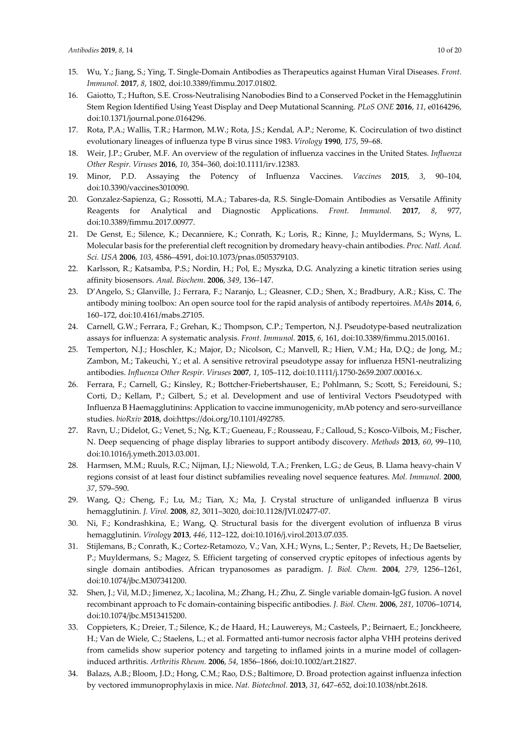- 15. Wu, Y.; Jiang, S.; Ying, T. Single-Domain Antibodies as Therapeutics against Human Viral Diseases. *Front. Immunol.* **2017**, *8*, 1802, doi:10.3389/fimmu.2017.01802.
- 16. Gaiotto, T.; Hufton, S.E. Cross-Neutralising Nanobodies Bind to a Conserved Pocket in the Hemagglutinin Stem Region Identified Using Yeast Display and Deep Mutational Scanning. *PLoS ONE* **2016**, *11*, e0164296, doi:10.1371/journal.pone.0164296.
- 17. Rota, P.A.; Wallis, T.R.; Harmon, M.W.; Rota, J.S.; Kendal, A.P.; Nerome, K. Cocirculation of two distinct evolutionary lineages of influenza type B virus since 1983. *Virology* 1990, 175, 59-68.
- 18. Weir, J.P.; Gruber, M.F. An overview of the regulation of influenza vaccines in the United States. *Influenza Other Respir. Viruses* 2016, 10, 354-360, doi:10.1111/irv.12383.
- 19. Minor, P.D. Assaying the Potency of Influenza Vaccines. *Vaccines* 2015, 3, 90–104, doi:10.3390/vaccines3010090.
- 20. Gonzalez-Sapienza, G.; Rossotti, M.A.; Tabares-da, R.S. Single-Domain Antibodies as Versatile Affinity Reagents for Analytical and Diagnostic Applications. *Front. Immunol.* **2017**, *8*, 977, doi:10.3389/fimmu.2017.00977.
- 21. De Genst, E.; Silence, K.; Decanniere, K.; Conrath, K.; Loris, R.; Kinne, J.; Muyldermans, S.; Wyns, L. Molecular basis for the preferential cleft recognition by dromedary heavy-chain antibodies. *Proc. Natl. Acad. Sci. USA 2006, 103, 4586-4591, doi:10.1073/pnas.0505379103.*
- 22. Karlsson, R.; Katsamba, P.S.; Nordin, H.; Pol, E.; Myszka, D.G. Analyzing a kinetic titration series using affinity biosensors. Anal. Biochem. 2006, 349, 136-147.
- 23. DíAngelo, S.; Glanville, J.; Ferrara, F.; Naranjo, L.; Gleasner, C.D.; Shen, X.; Bradbury, A.R.; Kiss, C. The antibody mining toolbox: An open source tool for the rapid analysis of antibody repertoires. *MAbs* **2014**, *6*, 160-172, doi:10.4161/mabs.27105.
- 24. Carnell, G.W.; Ferrara, F.; Grehan, K.; Thompson, C.P.; Temperton, N.J. Pseudotype-based neutralization assays for influenza: A systematic analysis. *Front. Immunol.* **2015**, *6*, 161, doi:10.3389/fimmu.2015.00161.
- 25. Temperton, N.J.; Hoschler, K.; Major, D.; Nicolson, C.; Manvell, R.; Hien, V.M.; Ha, D.Q.; de Jong, M.; Zambon, M.; Takeuchi, Y.; et al. A sensitive retroviral pseudotype assay for influenza H5N1-neutralizing antibodies. Influenza Other Respir. Viruses 2007, 1, 105-112, doi:10.1111/j.1750-2659.2007.00016.x.
- 26. Ferrara, F.; Carnell, G.; Kinsley, R.; Bottcher-Friebertshauser, E.; Pohlmann, S.; Scott, S.; Fereidouni, S.; Corti, D.; Kellam, P.; Gilbert, S.; et al. Development and use of lentiviral Vectors Pseudotyped with Influenza B Haemagglutinins: Application to vaccine immunogenicity, mAb potency and sero-surveillance studies. *bioRxiv* **2018**, doi:https://doi.org/10.1101/492785.
- 27. Ravn, U.; Didelot, G.; Venet, S.; Ng, K.T.; Gueneau, F.; Rousseau, F.; Calloud, S.; Kosco-Vilbois, M.; Fischer, N. Deep sequencing of phage display libraries to support antibody discovery. Methods 2013, 60, 99-110, doi:10.1016/j.ymeth.2013.03.001.
- 28. Harmsen, M.M.; Ruuls, R.C.; Nijman, I.J.; Niewold, T.A.; Frenken, L.G.; de Geus, B. Llama heavy-chain V regions consist of at least four distinct subfamilies revealing novel sequence features. *Mol. Immunol.* **2000**, 37, 579-590.
- 29. Wang, Q.; Cheng, F.; Lu, M.; Tian, X.; Ma, J. Crystal structure of unliganded influenza B virus hemagglutinin. *J. Virol.* 2008, 82, 3011-3020, doi:10.1128/JVI.02477-07.
- 30. Ni, F.; Kondrashkina, E.; Wang, Q. Structural basis for the divergent evolution of influenza B virus hemagglutinin. *Virology* 2013, 446, 112-122, doi:10.1016/j.virol.2013.07.035.
- 31. Stijlemans, B.; Conrath, K.; Cortez-Retamozo, V.; Van, X.H.; Wyns, L.; Senter, P.; Revets, H.; De Baetselier, P.; Muyldermans, S.; Magez, S. Efficient targeting of conserved cryptic epitopes of infectious agents by single domain antibodies. African trypanosomes as paradigm. *J. Biol. Chem.* 2004, 279, 1256-1261, doi:10.1074/jbc.M307341200.
- 32. Shen, J.; Vil, M.D.; Jimenez, X.; Iacolina, M.; Zhang, H.; Zhu, Z. Single variable domain-IgG fusion. A novel recombinant approach to Fc domain-containing bispecific antibodies. *J. Biol. Chem.* 2006, 281, 10706-10714, doi:10.1074/jbc.M513415200.
- 33. Coppieters, K.; Dreier, T.; Silence, K.; de Haard, H.; Lauwereys, M.; Casteels, P.; Beirnaert, E.; Jonckheere, H.; Van de Wiele, C.; Staelens, L.; et al. Formatted anti-tumor necrosis factor alpha VHH proteins derived from camelids show superior potency and targeting to inflamed joints in a murine model of collageninduced arthritis. Arthritis Rheum. 2006, 54, 1856-1866, doi:10.1002/art.21827.
- 34. Balazs, A.B.; Bloom, J.D.; Hong, C.M.; Rao, D.S.; Baltimore, D. Broad protection against influenza infection by vectored immunoprophylaxis in mice. Nat. Biotechnol. 2013, 31, 647-652, doi:10.1038/nbt.2618.